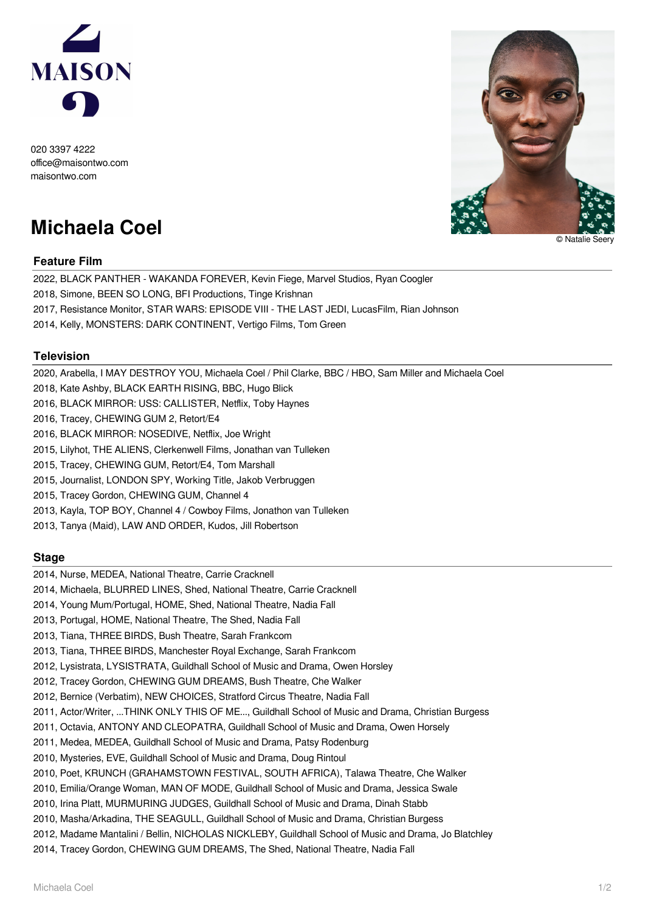

020 3397 4222 office@maisontwo.com maisontwo.com

# **Michaela Coel**

## **Feature Film**

2022, BLACK PANTHER - WAKANDA FOREVER, Kevin Fiege, Marvel Studios, Ryan Coogler

2018, Simone, BEEN SO LONG, BFI Productions, Tinge Krishnan

2017, Resistance Monitor, STAR WARS: EPISODE VIII - THE LAST JEDI, LucasFilm, Rian Johnson

2014, Kelly, MONSTERS: DARK CONTINENT, Vertigo Films, Tom Green

### **Television**

2020, Arabella, I MAY DESTROY YOU, Michaela Coel / Phil Clarke, BBC / HBO, Sam Miller and Michaela Coel

- 2018, Kate Ashby, BLACK EARTH RISING, BBC, Hugo Blick
- 2016, BLACK MIRROR: USS: CALLISTER, Netflix, Toby Haynes
- 2016, Tracey, CHEWING GUM 2, Retort/E4
- 2016, BLACK MIRROR: NOSEDIVE, Netflix, Joe Wright
- 2015, Lilyhot, THE ALIENS, Clerkenwell Films, Jonathan van Tulleken
- 2015, Tracey, CHEWING GUM, Retort/E4, Tom Marshall
- 2015, Journalist, LONDON SPY, Working Title, Jakob Verbruggen
- 2015, Tracey Gordon, CHEWING GUM, Channel 4
- 2013, Kayla, TOP BOY, Channel 4 / Cowboy Films, Jonathon van Tulleken
- 2013, Tanya (Maid), LAW AND ORDER, Kudos, Jill Robertson

#### **Stage**

- 2014, Nurse, MEDEA, National Theatre, Carrie Cracknell
- 2014, Michaela, BLURRED LINES, Shed, National Theatre, Carrie Cracknell
- 2014, Young Mum/Portugal, HOME, Shed, National Theatre, Nadia Fall
- 2013, Portugal, HOME, National Theatre, The Shed, Nadia Fall
- 2013, Tiana, THREE BIRDS, Bush Theatre, Sarah Frankcom
- 2013, Tiana, THREE BIRDS, Manchester Royal Exchange, Sarah Frankcom
- 2012, Lysistrata, LYSISTRATA, Guildhall School of Music and Drama, Owen Horsley
- 2012, Tracey Gordon, CHEWING GUM DREAMS, Bush Theatre, Che Walker
- 2012, Bernice (Verbatim), NEW CHOICES, Stratford Circus Theatre, Nadia Fall
- 2011, Actor/Writer, ...THINK ONLY THIS OF ME..., Guildhall School of Music and Drama, Christian Burgess
- 2011, Octavia, ANTONY AND CLEOPATRA, Guildhall School of Music and Drama, Owen Horsely
- 2011, Medea, MEDEA, Guildhall School of Music and Drama, Patsy Rodenburg
- 2010, Mysteries, EVE, Guildhall School of Music and Drama, Doug Rintoul
- 2010, Poet, KRUNCH (GRAHAMSTOWN FESTIVAL, SOUTH AFRICA), Talawa Theatre, Che Walker
- 2010, Emilia/Orange Woman, MAN OF MODE, Guildhall School of Music and Drama, Jessica Swale
- 2010, Irina Platt, MURMURING JUDGES, Guildhall School of Music and Drama, Dinah Stabb
- 2010, Masha/Arkadina, THE SEAGULL, Guildhall School of Music and Drama, Christian Burgess
- 2012, Madame Mantalini / Bellin, NICHOLAS NICKLEBY, Guildhall School of Music and Drama, Jo Blatchley
- 2014, Tracey Gordon, CHEWING GUM DREAMS, The Shed, National Theatre, Nadia Fall



© Natalie Seery